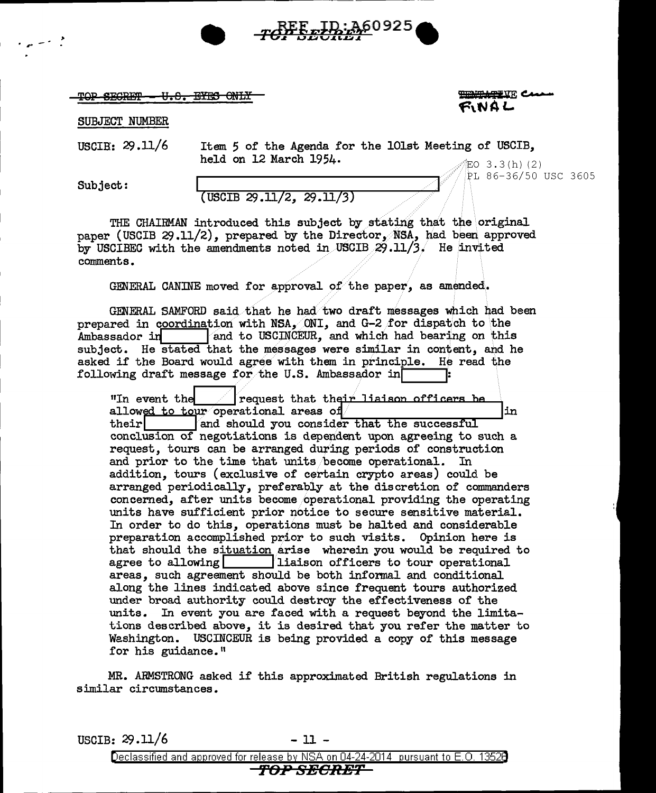

TOP SECRET - U.S. EYES ONLY

SUBJECT NUMBER

USCIB:  $29.11/6$ 

Item 5 of the Agenda for the 101st Meeting of USCIB, held on 12 March 1954.  $EO$  3.3(h)(2)

<u> مستسيستين</u>

PL 86-36/50 USC 3605

ぜいけん

Subject:

## $($  USCIB 29.11/2, 29.11/3)

THE CHAIRMAN introduced this subject by stating that the original paper (USCIB 29.11/2), prepared by the Director. NSA, had been approved by USCIBEC with the amendments noted in USCIB  $29.11/3$ . He invited comments.

GENERAL CANINE moved for approval of the paper, as amended.

GENERAL SAMFORD said that he had two draft messages which had been prepared in coordination with NSA, ONI, and G-2 for dispatch to the Ambassador in and to USCINCEUR, and which had bearing on this subject. He stated that the messages were similar in content, and he asked if the Board would agree with them in principle. He read the following draft message for the U.S. Ambassador in

"In event the *lequest that their liaison officers be* allowed to tour operational areas of lin. their and should you consider that the successful conclusion of negotiations is dependent upon agreeing to such a request, tours can be arranged during periods of construction and prior to the time that units become operational. In addition, tours (exclusive of certain crypto areas) could be arranged periodically, preferably at the discretion of commanders concerned, after units become operational providing the operating units have sufficient prior notice to secure sensitive material. In order to do this, operations must be halted and considerable preparation accomplished prior to such visits. Opinion here is that should the situation arise wherein you would be required to agree to allowing is indicated in its liaison officers to tour operational areas, such agreement should be both informal and conditional along the lines indicated above since frequent tours authorized under broad authority could destroy the effectiveness of the units. In event you are faced with a request beyond the limitations described above, it is desired that you refer the matter to Washington. USCINCEUR is being provided a copy of this message for his guidance."

MR. ARMSTRONG asked if this approximated British regulations in similar circumstances.

USCIB:  $29.11/6$  $-11 -$ Declassified and approved for release by NSA on 04-24-2014 pursuant to E.O. 13528 **TOP SECRET**